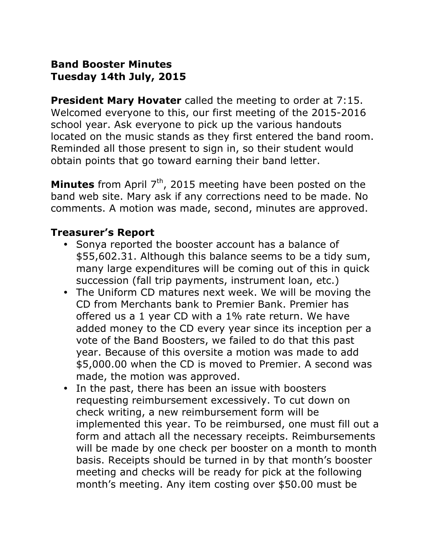# **Band Booster Minutes Tuesday 14th July, 2015**

**President Mary Hovater** called the meeting to order at 7:15. Welcomed everyone to this, our first meeting of the 2015-2016 school year. Ask everyone to pick up the various handouts located on the music stands as they first entered the band room. Reminded all those present to sign in, so their student would obtain points that go toward earning their band letter.

**Minutes** from April 7<sup>th</sup>, 2015 meeting have been posted on the band web site. Mary ask if any corrections need to be made. No comments. A motion was made, second, minutes are approved.

### **Treasurer's Report**

- ! Sonya reported the booster account has a balance of \$55,602.31. Although this balance seems to be a tidy sum, many large expenditures will be coming out of this in quick succession (fall trip payments, instrument loan, etc.)
- ! The Uniform CD matures next week. We will be moving the CD from Merchants bank to Premier Bank. Premier has offered us a 1 year CD with a 1% rate return. We have added money to the CD every year since its inception per a vote of the Band Boosters, we failed to do that this past year. Because of this oversite a motion was made to add \$5,000.00 when the CD is moved to Premier. A second was made, the motion was approved.
- In the past, there has been an issue with boosters requesting reimbursement excessively. To cut down on check writing, a new reimbursement form will be implemented this year. To be reimbursed, one must fill out a form and attach all the necessary receipts. Reimbursements will be made by one check per booster on a month to month basis. Receipts should be turned in by that month's booster meeting and checks will be ready for pick at the following month's meeting. Any item costing over \$50.00 must be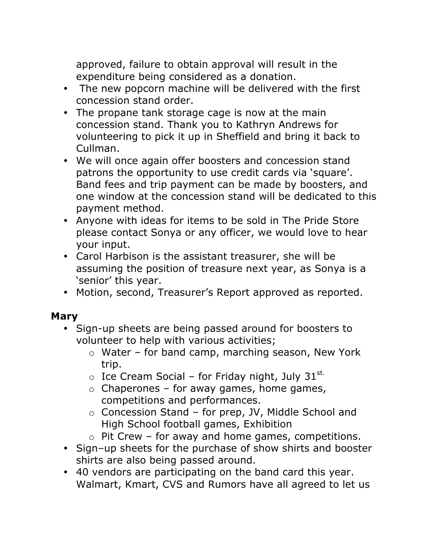approved, failure to obtain approval will result in the expenditure being considered as a donation.

- The new popcorn machine will be delivered with the first concession stand order.
- The propane tank storage cage is now at the main concession stand. Thank you to Kathryn Andrews for volunteering to pick it up in Sheffield and bring it back to Cullman.
- ! We will once again offer boosters and concession stand patrons the opportunity to use credit cards via 'square'. Band fees and trip payment can be made by boosters, and one window at the concession stand will be dedicated to this payment method.
- Anyone with ideas for items to be sold in The Pride Store please contact Sonya or any officer, we would love to hear your input.
- ! Carol Harbison is the assistant treasurer, she will be assuming the position of treasure next year, as Sonya is a 'senior' this year.
- ! Motion, second, Treasurer's Report approved as reported.

# **Mary**

- ! Sign-up sheets are being passed around for boosters to volunteer to help with various activities;
	- o Water for band camp, marching season, New York trip.
	- $\circ$  Ice Cream Social for Friday night, July 31<sup>st.</sup>
	- $\circ$  Chaperones for away games, home games, competitions and performances.
	- o Concession Stand for prep, JV, Middle School and High School football games, Exhibition
	- $\circ$  Pit Crew for away and home games, competitions.
- Sign-up sheets for the purchase of show shirts and booster shirts are also being passed around.
- ! 40 vendors are participating on the band card this year. Walmart, Kmart, CVS and Rumors have all agreed to let us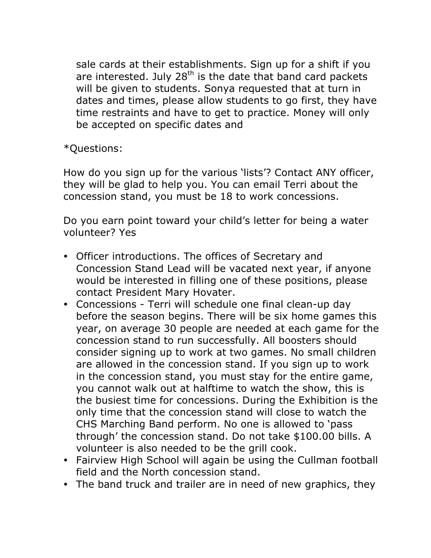sale cards at their establishments. Sign up for a shift if you are interested. July  $28<sup>th</sup>$  is the date that band card packets will be given to students. Sonya requested that at turn in dates and times, please allow students to go first, they have time restraints and have to get to practice. Money will only be accepted on specific dates and

\*Questions:

How do you sign up for the various 'lists'? Contact ANY officer, they will be glad to help you. You can email Terri about the concession stand, you must be 18 to work concessions.

Do you earn point toward your child's letter for being a water volunteer? Yes

- ! Officer introductions. The offices of Secretary and Concession Stand Lead will be vacated next year, if anyone would be interested in filling one of these positions, please contact President Mary Hovater.
- ! Concessions Terri will schedule one final clean-up day before the season begins. There will be six home games this year, on average 30 people are needed at each game for the concession stand to run successfully. All boosters should consider signing up to work at two games. No small children are allowed in the concession stand. If you sign up to work in the concession stand, you must stay for the entire game, you cannot walk out at halftime to watch the show, this is the busiest time for concessions. During the Exhibition is the only time that the concession stand will close to watch the CHS Marching Band perform. No one is allowed to 'pass through' the concession stand. Do not take \$100.00 bills. A volunteer is also needed to be the grill cook.
- ! Fairview High School will again be using the Cullman football field and the North concession stand.
- The band truck and trailer are in need of new graphics, they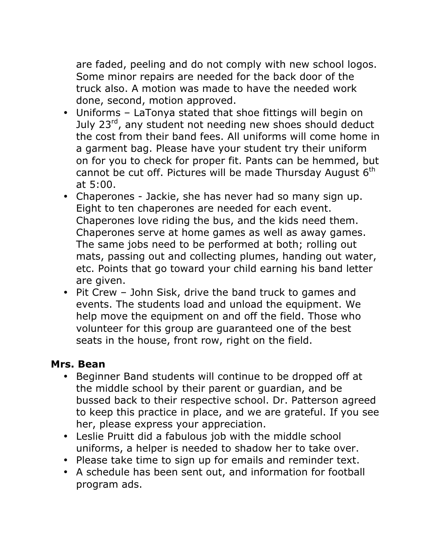are faded, peeling and do not comply with new school logos. Some minor repairs are needed for the back door of the truck also. A motion was made to have the needed work done, second, motion approved.

- Uniforms LaTonya stated that shoe fittings will begin on July 23<sup>rd</sup>, any student not needing new shoes should deduct the cost from their band fees. All uniforms will come home in a garment bag. Please have your student try their uniform on for you to check for proper fit. Pants can be hemmed, but cannot be cut off. Pictures will be made Thursday August  $6<sup>th</sup>$ at 5:00.
- ! Chaperones Jackie, she has never had so many sign up. Eight to ten chaperones are needed for each event. Chaperones love riding the bus, and the kids need them. Chaperones serve at home games as well as away games. The same jobs need to be performed at both; rolling out mats, passing out and collecting plumes, handing out water, etc. Points that go toward your child earning his band letter are given.
- Pit Crew John Sisk, drive the band truck to games and events. The students load and unload the equipment. We help move the equipment on and off the field. Those who volunteer for this group are guaranteed one of the best seats in the house, front row, right on the field.

# **Mrs. Bean**

- Beginner Band students will continue to be dropped off at the middle school by their parent or guardian, and be bussed back to their respective school. Dr. Patterson agreed to keep this practice in place, and we are grateful. If you see her, please express your appreciation.
- Leslie Pruitt did a fabulous job with the middle school uniforms, a helper is needed to shadow her to take over.
- Please take time to sign up for emails and reminder text.
- A schedule has been sent out, and information for football program ads.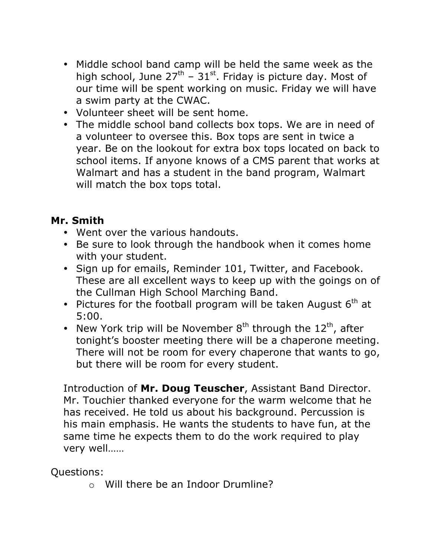- Middle school band camp will be held the same week as the high school, June  $27<sup>th</sup>$  –  $31<sup>st</sup>$ . Friday is picture day. Most of our time will be spent working on music. Friday we will have a swim party at the CWAC.
- Volunteer sheet will be sent home.
- The middle school band collects box tops. We are in need of a volunteer to oversee this. Box tops are sent in twice a year. Be on the lookout for extra box tops located on back to school items. If anyone knows of a CMS parent that works at Walmart and has a student in the band program, Walmart will match the box tops total.

# **Mr. Smith**

- Went over the various handouts.
- Be sure to look through the handbook when it comes home with your student.
- ! Sign up for emails, Reminder 101, Twitter, and Facebook. These are all excellent ways to keep up with the goings on of the Cullman High School Marching Band.
- . Pictures for the football program will be taken August  $6<sup>th</sup>$  at 5:00.
- New York trip will be November  $8<sup>th</sup>$  through the  $12<sup>th</sup>$ , after tonight's booster meeting there will be a chaperone meeting. There will not be room for every chaperone that wants to go, but there will be room for every student.

Introduction of **Mr. Doug Teuscher**, Assistant Band Director. Mr. Touchier thanked everyone for the warm welcome that he has received. He told us about his background. Percussion is his main emphasis. He wants the students to have fun, at the same time he expects them to do the work required to play very well……

Questions:

o Will there be an Indoor Drumline?